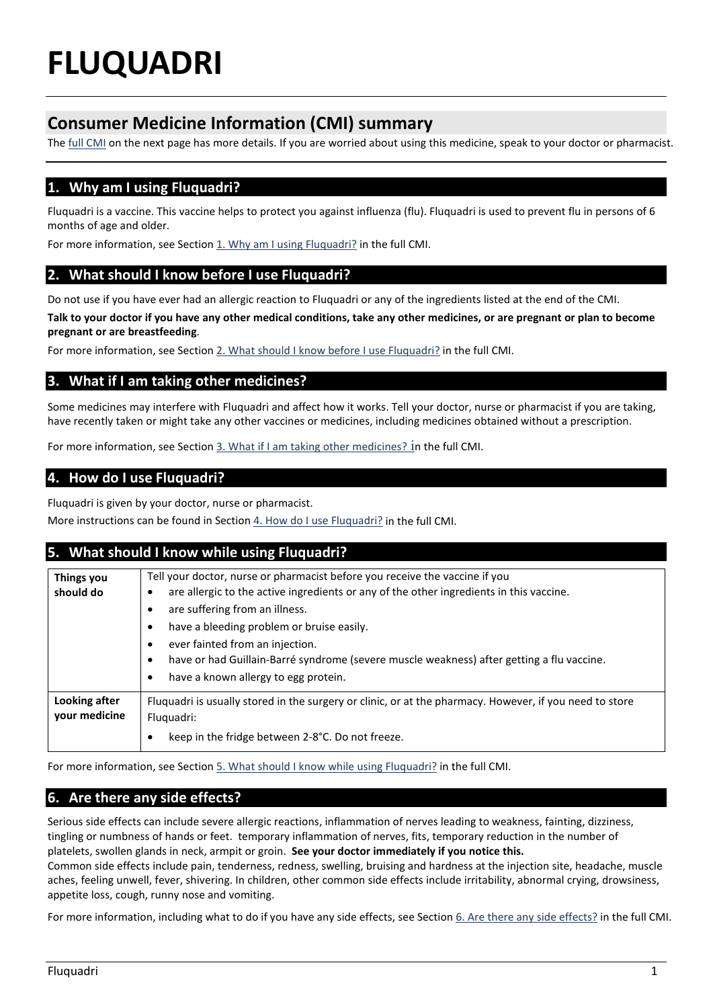# **FLUQUADRI**

# **Consumer Medicine Information (CMI) summary**

The [full CMI](#page-1-0) on the next page has more details. If you are worried about using this medicine, speak to your doctor or pharmacist.

# <span id="page-0-0"></span>**1. Why am I using Fluquadri?**

Fluquadri is a vaccine. This vaccine helps to protect you against influenza (flu). Fluquadri is used to prevent flu in persons of 6 months of age and older.

For more information, see Section 1. Why am I using Fluquadri? in the full CMI.

## <span id="page-0-1"></span>**2. What should I know before I use Fluquadri?**

Do not use if you have ever had an allergic reaction to Fluquadri or any of the ingredients listed at the end of the CMI.

**Talk to your doctor if you have any other medical conditions, take any other medicines, or are pregnant or plan to become pregnant or are breastfeeding**.

For more information, see Sectio[n 2. What should I know before I use Fluquadri?](#page-1-1) in the full CMI.

## <span id="page-0-2"></span>**3. What if I am taking other medicines?**

Some medicines may interfere with Fluquadri and affect how it works. Tell your doctor, nurse or pharmacist if you are taking, have recently taken or might take any other vaccines or medicines, including medicines obtained without a prescription.

For more information, see Section [3. What if I am taking other medicines?](#page-2-0) in the full CMI.

## <span id="page-0-3"></span>**4. How do I use Fluquadri?**

Fluquadri is given by your doctor, nurse or pharmacist.

More instructions can be found in Section 4. How do I use Fluquadri? in the full CMI.

#### <span id="page-0-4"></span>**5. What should I know while using Fluquadri?**

| Things you<br>should do        | Tell your doctor, nurse or pharmacist before you receive the vaccine if you<br>are allergic to the active ingredients or any of the other ingredients in this vaccine.<br>٠<br>are suffering from an illness.<br>have a bleeding problem or bruise easily.<br>٠<br>ever fainted from an injection.<br>have or had Guillain-Barré syndrome (severe muscle weakness) after getting a flu vaccine.<br>have a known allergy to egg protein. |
|--------------------------------|-----------------------------------------------------------------------------------------------------------------------------------------------------------------------------------------------------------------------------------------------------------------------------------------------------------------------------------------------------------------------------------------------------------------------------------------|
| Looking after<br>your medicine | Fluquadri is usually stored in the surgery or clinic, or at the pharmacy. However, if you need to store<br>Fluquadri:<br>keep in the fridge between 2-8°C. Do not freeze.                                                                                                                                                                                                                                                               |

For more information, see Section [5. What should I know while using Fluquadri?](#page-2-1) in the full CMI.

# <span id="page-0-5"></span>**6. Are there any side effects?**

Serious side effects can include severe allergic reactions, inflammation of nerves leading to weakness, fainting, dizziness, tingling or numbness of hands or feet. temporary inflammation of nerves, fits, temporary reduction in the number of platelets, swollen glands in neck, armpit or groin. **See your doctor immediately if you notice this.**

Common side effects include pain, tenderness, redness, swelling, bruising and hardness at the injection site, headache, muscle aches, feeling unwell, fever, shivering. In children, other common side effects include irritability, abnormal crying, drowsiness, appetite loss, cough, runny nose and vomiting.

For more information, including what to do if you have any side effects, see Section [6. Are there any side effects?](#page-2-2) in the full CMI.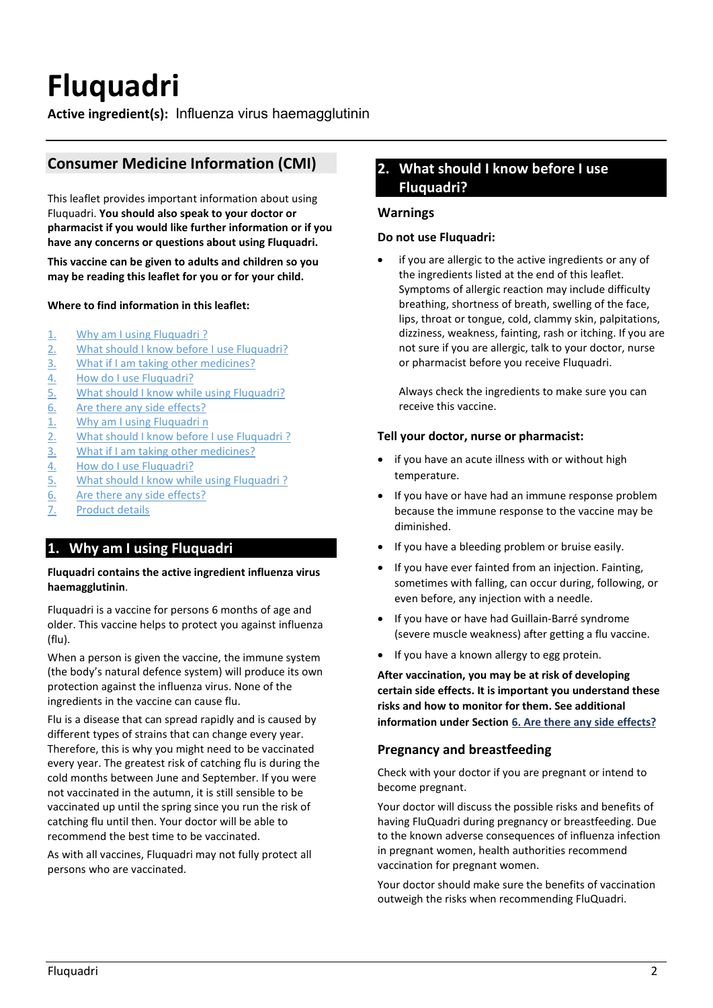# <span id="page-1-0"></span>**Fluquadri**

**Active ingredient(s):** Influenza virus haemagglutinin

# **Consumer Medicine Information (CMI)**

This leaflet provides important information about using Fluquadri. **You should also speak to your doctor or pharmacist if you would like further information or if you have any concerns or questions about using Fluquadri.**

**This vaccine can be given to adults and children so you may be reading this leaflet for you or for your child.**

#### **Where to find information in this leaflet:**

- 1. [Why am I using Fluquadri ?](#page-0-0)
- 2. [What should I know before I use Fluquadri?](#page-0-1)
- 3. [What if I am taking other medicines?](#page-0-2)
- 4. [How do I use Fluquadri?](#page-0-3)
- 5. [What should I know while using Fluquadri?](#page-0-4)
- 6. [Are there any side effects?](#page-0-5)
- 1. [Why am I using Fluquadri n](#page-1-2)
- 2. [What should I know before I use Fluquadri ?](#page-1-1)
- 3. [What if I am taking other medicines?](#page-2-0)
- 4. [How do I use Fluquadri?](#page-2-3)
- 5. What should I know while using Fluquadri?
- 6. [Are there any side effects?](#page-2-4)
- 7. [Product details](#page-3-0)

#### <span id="page-1-2"></span>**1. Why am I using Fluquadri**

#### **Fluquadri contains the active ingredient influenza virus haemagglutinin**.

Fluquadri is a vaccine for persons 6 months of age and older. This vaccine helps to protect you against influenza (flu).

When a person is given the vaccine, the immune system (the body's natural defence system) will produce its own protection against the influenza virus. None of the ingredients in the vaccine can cause flu.

Flu is a disease that can spread rapidly and is caused by different types of strains that can change every year. Therefore, this is why you might need to be vaccinated every year. The greatest risk of catching flu is during the cold months between June and September. If you were not vaccinated in the autumn, it is still sensible to be vaccinated up until the spring since you run the risk of catching flu until then. Your doctor will be able to recommend the best time to be vaccinated.

As with all vaccines, Fluquadri may not fully protect all persons who are vaccinated.

# <span id="page-1-1"></span>**2. What should I know before I use Fluquadri?**

#### **Warnings**

#### **Do not use Fluquadri:**

if you are allergic to the active ingredients or any of the ingredients listed at the end of this leaflet. Symptoms of allergic reaction may include difficulty breathing, shortness of breath, swelling of the face, lips, throat or tongue, cold, clammy skin, palpitations, dizziness, weakness, fainting, rash or itching. If you are not sure if you are allergic, talk to your doctor, nurse or pharmacist before you receive Fluquadri.

Always check the ingredients to make sure you can receive this vaccine.

#### **Tell your doctor, nurse or pharmacist:**

- if you have an acute illness with or without high temperature.
- If you have or have had an immune response problem because the immune response to the vaccine may be diminished.
- If you have a bleeding problem or bruise easily.
- If you have ever fainted from an injection. Fainting, sometimes with falling, can occur during, following, or even before, any injection with a needle.
- If you have or have had Guillain-Barré syndrome (severe muscle weakness) after getting a flu vaccine.
- If you have a known allergy to egg protein.

**After vaccination, you may be at risk of developing certain side effects. It is important you understand these risks and how to monitor for them. See additional information under Section [6. Are there any side effects?](#page-2-2)**

#### **Pregnancy and breastfeeding**

Check with your doctor if you are pregnant or intend to become pregnant.

Your doctor will discuss the possible risks and benefits of having FluQuadri during pregnancy or breastfeeding. Due to the known adverse consequences of influenza infection in pregnant women, health authorities recommend vaccination for pregnant women.

Your doctor should make sure the benefits of vaccination outweigh the risks when recommending FluQuadri.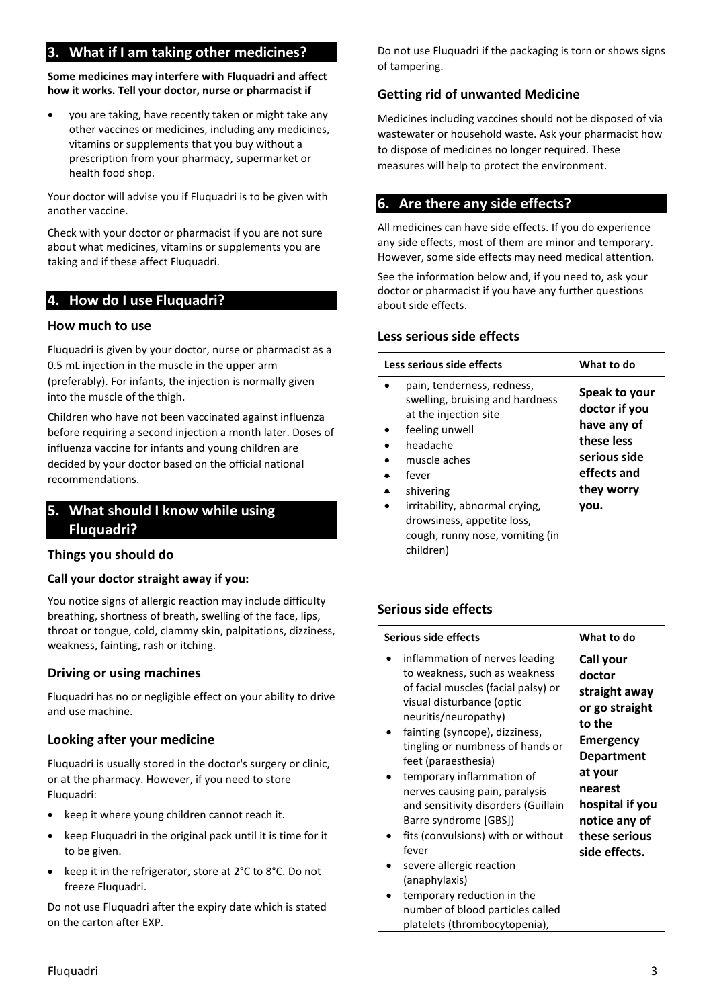# <span id="page-2-0"></span>**3. What if I am taking other medicines?**

**Some medicines may interfere with Fluquadri and affect how it works. Tell your doctor, nurse or pharmacist if** 

• you are taking, have recently taken or might take any other vaccines or medicines, including any medicines, vitamins or supplements that you buy without a prescription from your pharmacy, supermarket or health food shop.

Your doctor will advise you if Fluquadri is to be given with another vaccine.

Check with your doctor or pharmacist if you are not sure about what medicines, vitamins or supplements you are taking and if these affect Fluquadri.

## <span id="page-2-3"></span>**4. How do I use Fluquadri?**

#### **How much to use**

Fluquadri is given by your doctor, nurse or pharmacist as a 0.5 mL injection in the muscle in the upper arm (preferably). For infants, the injection is normally given into the muscle of the thigh.

Children who have not been vaccinated against influenza before requiring a second injection a month later. Doses of influenza vaccine for infants and young children are decided by your doctor based on the official national recommendations.

# <span id="page-2-1"></span>**5. What should I know while using Fluquadri?**

#### **Things you should do**

#### **Call your doctor straight away if you:**

You notice signs of allergic reaction may include difficulty breathing, shortness of breath, swelling of the face, lips, throat or tongue, cold, clammy skin, palpitations, dizziness, weakness, fainting, rash or itching.

#### **Driving or using machines**

Fluquadri has no or negligible effect on your ability to drive and use machine.

#### **Looking after your medicine**

Fluquadri is usually stored in the doctor's surgery or clinic, or at the pharmacy. However, if you need to store Fluquadri:

- keep it where young children cannot reach it.
- keep Fluquadri in the original pack until it is time for it to be given.
- keep it in the refrigerator, store at 2°C to 8°C. Do not freeze Fluquadri.

Do not use Fluquadri after the expiry date which is stated on the carton after EXP.

Do not use Fluquadri if the packaging is torn or shows signs of tampering.

#### **Getting rid of unwanted Medicine**

<span id="page-2-2"></span>Medicines including vaccines should not be disposed of via wastewater or household waste. Ask your pharmacist how to dispose of medicines no longer required. These measures will help to protect the environment.

# <span id="page-2-4"></span>**6. Are there any side effects?**

All medicines can have side effects. If you do experience any side effects, most of them are minor and temporary. However, some side effects may need medical attention.

See the information below and, if you need to, ask your doctor or pharmacist if you have any further questions about side effects.

#### **Less serious side effects**

| Less serious side effects                                                                                                                                                                                                                                                  | What to do                                                                                                       |
|----------------------------------------------------------------------------------------------------------------------------------------------------------------------------------------------------------------------------------------------------------------------------|------------------------------------------------------------------------------------------------------------------|
| pain, tenderness, redness,<br>swelling, bruising and hardness<br>at the injection site<br>feeling unwell<br>headache<br>muscle aches<br>fever<br>shivering<br>irritability, abnormal crying,<br>drowsiness, appetite loss,<br>cough, runny nose, vomiting (in<br>children) | Speak to your<br>doctor if you<br>have any of<br>these less<br>serious side<br>effects and<br>they worry<br>vou. |

# **Serious side effects**

| Serious side effects                                                                                                                                                                                                                                                                                                                                                                                                                                                                                                                                  | What to do                                                                                                                                                                                     |
|-------------------------------------------------------------------------------------------------------------------------------------------------------------------------------------------------------------------------------------------------------------------------------------------------------------------------------------------------------------------------------------------------------------------------------------------------------------------------------------------------------------------------------------------------------|------------------------------------------------------------------------------------------------------------------------------------------------------------------------------------------------|
| inflammation of nerves leading<br>to weakness, such as weakness<br>of facial muscles (facial palsy) or<br>visual disturbance (optic<br>neuritis/neuropathy)<br>fainting (syncope), dizziness,<br>tingling or numbness of hands or<br>feet (paraesthesia)<br>temporary inflammation of<br>nerves causing pain, paralysis<br>and sensitivity disorders (Guillain<br>Barre syndrome [GBS])<br>fits (convulsions) with or without<br>fever<br>severe allergic reaction<br>(anaphylaxis)<br>temporary reduction in the<br>number of blood particles called | Call your<br>doctor<br>straight away<br>or go straight<br>to the<br>Emergency<br><b>Department</b><br>at your<br>nearest<br>hospital if you<br>notice any of<br>these serious<br>side effects. |

platelets (thrombocytopenia),